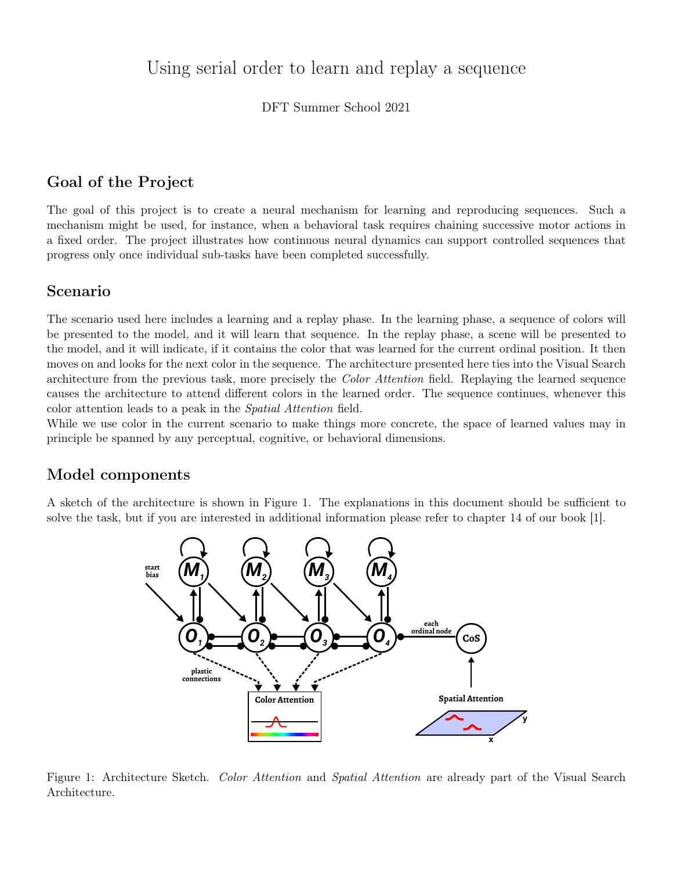# Using serial order to learn and replay a sequence

DFT Summer School 2021

# Goal of the Project

The goal of this project is to create a neural mechanism for learning and reproducing sequences. Such a mechanism might be used, for instance, when a behavioral task requires chaining successive motor actions in a fixed order. The project illustrates how continuous neural dynamics can support controlled sequences that progress only once individual sub-tasks have been completed successfully.

### Scenario

The scenario used here includes a learning and a replay phase. In the learning phase, a sequence of colors will be presented to the model, and it will learn that sequence. In the replay phase, a scene will be presented to the model, and it will indicate, if it contains the color that was learned for the current ordinal position. It then moves on and looks for the next color in the sequence. The architecture presented here ties into the Visual Search architecture from the previous task, more precisely the Color Attention field. Replaying the learned sequence causes the architecture to attend different colors in the learned order. The sequence continues, whenever this color attention leads to a peak in the Spatial Attention field.

While we use color in the current scenario to make things more concrete, the space of learned values may in principle be spanned by any perceptual, cognitive, or behavioral dimensions.

## Model components

A sketch of the architecture is shown in Figure 1. The explanations in this document should be sufficient to solve the task, but if you are interested in additional information please refer to chapter 14 of our book [1].



Figure 1: Architecture Sketch. Color Attention and Spatial Attention are already part of the Visual Search Architecture.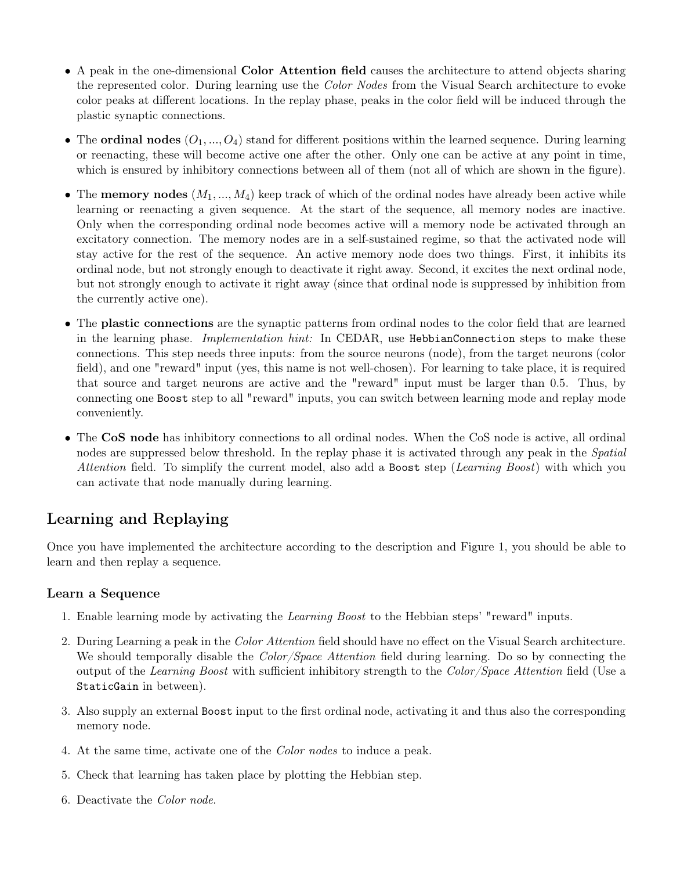- A peak in the one-dimensional Color Attention field causes the architecture to attend objects sharing the represented color. During learning use the Color Nodes from the Visual Search architecture to evoke color peaks at different locations. In the replay phase, peaks in the color field will be induced through the plastic synaptic connections.
- The ordinal nodes  $(O_1, ..., O_4)$  stand for different positions within the learned sequence. During learning or reenacting, these will become active one after the other. Only one can be active at any point in time, which is ensured by inhibitory connections between all of them (not all of which are shown in the figure).
- The memory nodes  $(M_1, ..., M_4)$  keep track of which of the ordinal nodes have already been active while learning or reenacting a given sequence. At the start of the sequence, all memory nodes are inactive. Only when the corresponding ordinal node becomes active will a memory node be activated through an excitatory connection. The memory nodes are in a self-sustained regime, so that the activated node will stay active for the rest of the sequence. An active memory node does two things. First, it inhibits its ordinal node, but not strongly enough to deactivate it right away. Second, it excites the next ordinal node, but not strongly enough to activate it right away (since that ordinal node is suppressed by inhibition from the currently active one).
- The plastic connections are the synaptic patterns from ordinal nodes to the color field that are learned in the learning phase. *Implementation hint*: In CEDAR, use HebbianConnection steps to make these connections. This step needs three inputs: from the source neurons (node), from the target neurons (color field), and one "reward" input (yes, this name is not well-chosen). For learning to take place, it is required that source and target neurons are active and the "reward" input must be larger than 0.5. Thus, by connecting one Boost step to all "reward" inputs, you can switch between learning mode and replay mode conveniently.
- The CoS node has inhibitory connections to all ordinal nodes. When the CoS node is active, all ordinal nodes are suppressed below threshold. In the replay phase it is activated through any peak in the *Spatial* Attention field. To simplify the current model, also add a Boost step (Learning Boost) with which you can activate that node manually during learning.

# Learning and Replaying

Once you have implemented the architecture according to the description and Figure 1, you should be able to learn and then replay a sequence.

#### Learn a Sequence

- 1. Enable learning mode by activating the Learning Boost to the Hebbian steps' "reward" inputs.
- 2. During Learning a peak in the Color Attention field should have no effect on the Visual Search architecture. We should temporally disable the *Color/Space Attention* field during learning. Do so by connecting the output of the Learning Boost with sufficient inhibitory strength to the Color/Space Attention field (Use a StaticGain in between).
- 3. Also supply an external Boost input to the first ordinal node, activating it and thus also the corresponding memory node.
- 4. At the same time, activate one of the Color nodes to induce a peak.
- 5. Check that learning has taken place by plotting the Hebbian step.
- 6. Deactivate the Color node.